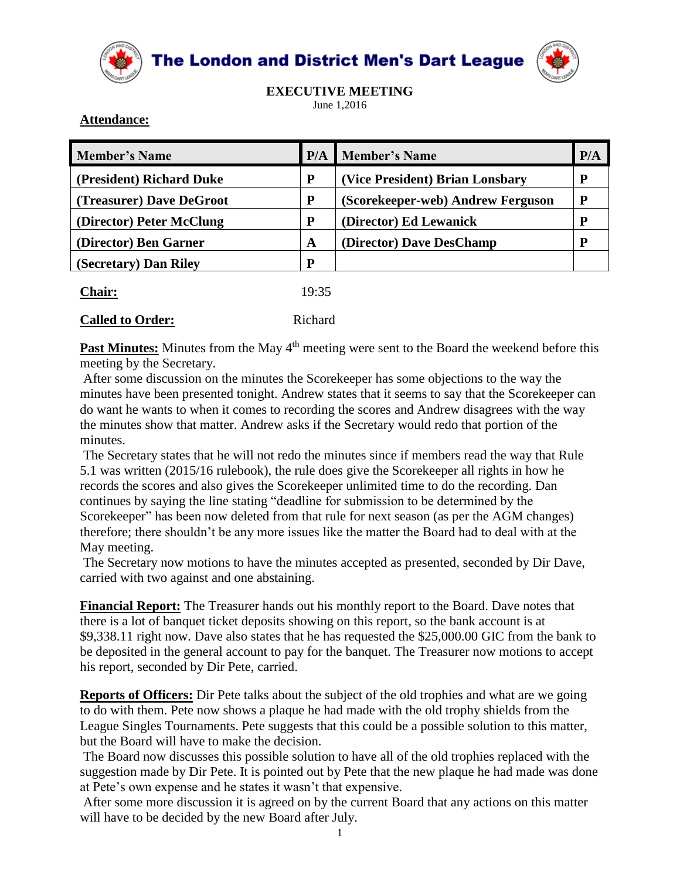

**The London and District Men's Dart League** 



**EXECUTIVE MEETING**

June 1,2016

## **Attendance:**

| <b>Member's Name</b>     | P/A       | <b>Member's Name</b>              | P/A       |
|--------------------------|-----------|-----------------------------------|-----------|
| (President) Richard Duke | ${\bf P}$ | (Vice President) Brian Lonsbary   | ${\bf P}$ |
| (Treasurer) Dave DeGroot | P         | (Scorekeeper-web) Andrew Ferguson | P         |
| (Director) Peter McClung | ${\bf P}$ | (Director) Ed Lewanick            | p         |
| (Director) Ben Garner    | A         | (Director) Dave DesChamp          |           |
| (Secretary) Dan Riley    | D         |                                   |           |
| $\Delta$ hair:           | 19:35     |                                   |           |

## **Called to Order:** Richard

**Past Minutes:** Minutes from the May 4<sup>th</sup> meeting were sent to the Board the weekend before this meeting by the Secretary.

After some discussion on the minutes the Scorekeeper has some objections to the way the minutes have been presented tonight. Andrew states that it seems to say that the Scorekeeper can do want he wants to when it comes to recording the scores and Andrew disagrees with the way the minutes show that matter. Andrew asks if the Secretary would redo that portion of the minutes.

The Secretary states that he will not redo the minutes since if members read the way that Rule 5.1 was written (2015/16 rulebook), the rule does give the Scorekeeper all rights in how he records the scores and also gives the Scorekeeper unlimited time to do the recording. Dan continues by saying the line stating "deadline for submission to be determined by the Scorekeeper" has been now deleted from that rule for next season (as per the AGM changes) therefore; there shouldn't be any more issues like the matter the Board had to deal with at the May meeting.

The Secretary now motions to have the minutes accepted as presented, seconded by Dir Dave, carried with two against and one abstaining.

**Financial Report:** The Treasurer hands out his monthly report to the Board. Dave notes that there is a lot of banquet ticket deposits showing on this report, so the bank account is at \$9,338.11 right now. Dave also states that he has requested the \$25,000.00 GIC from the bank to be deposited in the general account to pay for the banquet. The Treasurer now motions to accept his report, seconded by Dir Pete, carried.

**Reports of Officers:** Dir Pete talks about the subject of the old trophies and what are we going to do with them. Pete now shows a plaque he had made with the old trophy shields from the League Singles Tournaments. Pete suggests that this could be a possible solution to this matter, but the Board will have to make the decision.

The Board now discusses this possible solution to have all of the old trophies replaced with the suggestion made by Dir Pete. It is pointed out by Pete that the new plaque he had made was done at Pete's own expense and he states it wasn't that expensive.

After some more discussion it is agreed on by the current Board that any actions on this matter will have to be decided by the new Board after July.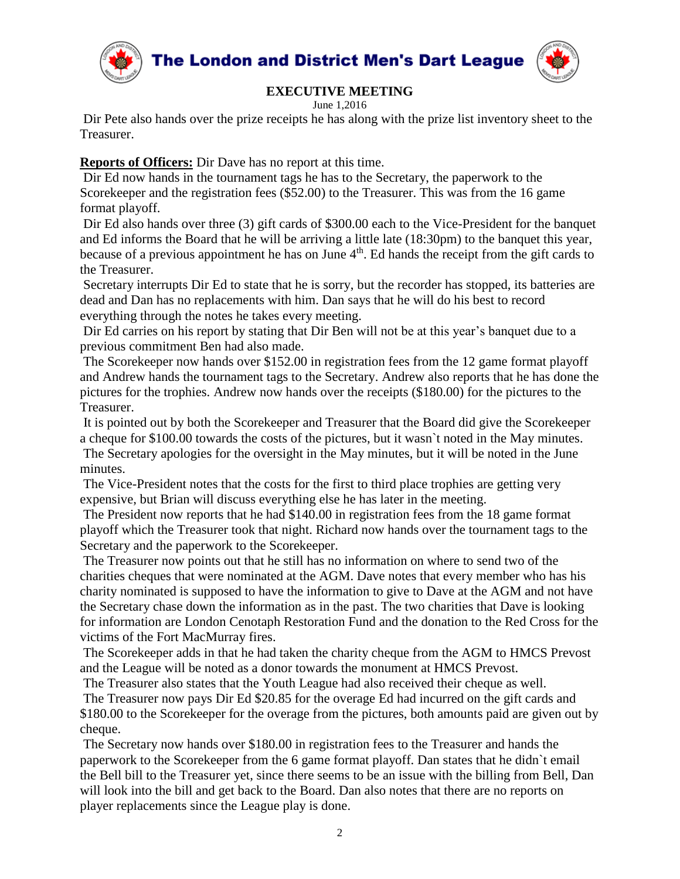

The London and District Men's Dart League



## **EXECUTIVE MEETING**

June 1,2016

Dir Pete also hands over the prize receipts he has along with the prize list inventory sheet to the Treasurer.

**Reports of Officers:** Dir Dave has no report at this time.

Dir Ed now hands in the tournament tags he has to the Secretary, the paperwork to the Scorekeeper and the registration fees (\$52.00) to the Treasurer. This was from the 16 game format playoff.

Dir Ed also hands over three (3) gift cards of \$300.00 each to the Vice-President for the banquet and Ed informs the Board that he will be arriving a little late (18:30pm) to the banquet this year, because of a previous appointment he has on June 4<sup>th</sup>. Ed hands the receipt from the gift cards to the Treasurer.

Secretary interrupts Dir Ed to state that he is sorry, but the recorder has stopped, its batteries are dead and Dan has no replacements with him. Dan says that he will do his best to record everything through the notes he takes every meeting.

Dir Ed carries on his report by stating that Dir Ben will not be at this year's banquet due to a previous commitment Ben had also made.

The Scorekeeper now hands over \$152.00 in registration fees from the 12 game format playoff and Andrew hands the tournament tags to the Secretary. Andrew also reports that he has done the pictures for the trophies. Andrew now hands over the receipts (\$180.00) for the pictures to the Treasurer.

It is pointed out by both the Scorekeeper and Treasurer that the Board did give the Scorekeeper a cheque for \$100.00 towards the costs of the pictures, but it wasn`t noted in the May minutes. The Secretary apologies for the oversight in the May minutes, but it will be noted in the June minutes.

The Vice-President notes that the costs for the first to third place trophies are getting very expensive, but Brian will discuss everything else he has later in the meeting.

The President now reports that he had \$140.00 in registration fees from the 18 game format playoff which the Treasurer took that night. Richard now hands over the tournament tags to the Secretary and the paperwork to the Scorekeeper.

The Treasurer now points out that he still has no information on where to send two of the charities cheques that were nominated at the AGM. Dave notes that every member who has his charity nominated is supposed to have the information to give to Dave at the AGM and not have the Secretary chase down the information as in the past. The two charities that Dave is looking for information are London Cenotaph Restoration Fund and the donation to the Red Cross for the victims of the Fort MacMurray fires.

The Scorekeeper adds in that he had taken the charity cheque from the AGM to HMCS Prevost and the League will be noted as a donor towards the monument at HMCS Prevost.

The Treasurer also states that the Youth League had also received their cheque as well.

The Treasurer now pays Dir Ed \$20.85 for the overage Ed had incurred on the gift cards and \$180.00 to the Scorekeeper for the overage from the pictures, both amounts paid are given out by cheque.

The Secretary now hands over \$180.00 in registration fees to the Treasurer and hands the paperwork to the Scorekeeper from the 6 game format playoff. Dan states that he didn`t email the Bell bill to the Treasurer yet, since there seems to be an issue with the billing from Bell, Dan will look into the bill and get back to the Board. Dan also notes that there are no reports on player replacements since the League play is done.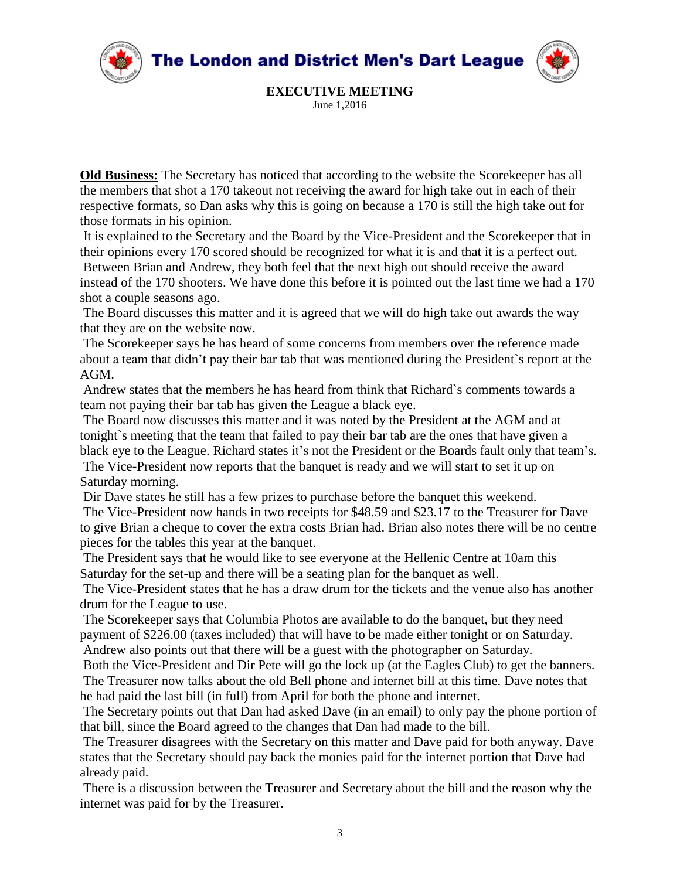

**EXECUTIVE MEETING** June 1,2016

**Old Business:** The Secretary has noticed that according to the website the Scorekeeper has all the members that shot a 170 takeout not receiving the award for high take out in each of their respective formats, so Dan asks why this is going on because a 170 is still the high take out for those formats in his opinion.

It is explained to the Secretary and the Board by the Vice-President and the Scorekeeper that in their opinions every 170 scored should be recognized for what it is and that it is a perfect out. Between Brian and Andrew, they both feel that the next high out should receive the award instead of the 170 shooters. We have done this before it is pointed out the last time we had a 170 shot a couple seasons ago.

The Board discusses this matter and it is agreed that we will do high take out awards the way that they are on the website now.

The Scorekeeper says he has heard of some concerns from members over the reference made about a team that didn't pay their bar tab that was mentioned during the President`s report at the AGM.

Andrew states that the members he has heard from think that Richard`s comments towards a team not paying their bar tab has given the League a black eye.

The Board now discusses this matter and it was noted by the President at the AGM and at tonight`s meeting that the team that failed to pay their bar tab are the ones that have given a black eye to the League. Richard states it's not the President or the Boards fault only that team's.

The Vice-President now reports that the banquet is ready and we will start to set it up on Saturday morning.

Dir Dave states he still has a few prizes to purchase before the banquet this weekend.

The Vice-President now hands in two receipts for \$48.59 and \$23.17 to the Treasurer for Dave to give Brian a cheque to cover the extra costs Brian had. Brian also notes there will be no centre pieces for the tables this year at the banquet.

The President says that he would like to see everyone at the Hellenic Centre at 10am this Saturday for the set-up and there will be a seating plan for the banquet as well.

The Vice-President states that he has a draw drum for the tickets and the venue also has another drum for the League to use.

The Scorekeeper says that Columbia Photos are available to do the banquet, but they need payment of \$226.00 (taxes included) that will have to be made either tonight or on Saturday. Andrew also points out that there will be a guest with the photographer on Saturday.

Both the Vice-President and Dir Pete will go the lock up (at the Eagles Club) to get the banners. The Treasurer now talks about the old Bell phone and internet bill at this time. Dave notes that he had paid the last bill (in full) from April for both the phone and internet.

The Secretary points out that Dan had asked Dave (in an email) to only pay the phone portion of that bill, since the Board agreed to the changes that Dan had made to the bill.

The Treasurer disagrees with the Secretary on this matter and Dave paid for both anyway. Dave states that the Secretary should pay back the monies paid for the internet portion that Dave had already paid.

There is a discussion between the Treasurer and Secretary about the bill and the reason why the internet was paid for by the Treasurer.